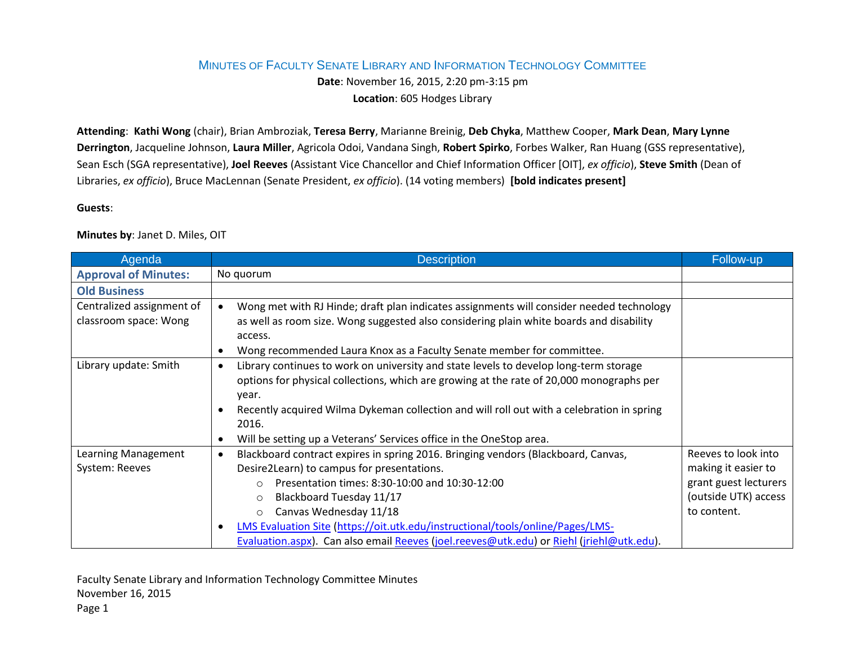## MINUTES OF FACULTY SENATE LIBRARY AND INFORMATION TECHNOLOGY COMMITTEE

**Date**: November 16, 2015, 2:20 pm-3:15 pm **Location**: 605 Hodges Library

**Attending**: **Kathi Wong** (chair), Brian Ambroziak, **Teresa Berry**, Marianne Breinig, **Deb Chyka**, Matthew Cooper, **Mark Dean**, **Mary Lynne Derrington**, Jacqueline Johnson, **Laura Miller**, Agricola Odoi, Vandana Singh, **Robert Spirko**, Forbes Walker, Ran Huang (GSS representative), Sean Esch (SGA representative), **Joel Reeves** (Assistant Vice Chancellor and Chief Information Officer [OIT], *ex officio*), **Steve Smith** (Dean of Libraries, *ex officio*), Bruce MacLennan (Senate President, *ex officio*). (14 voting members) **[bold indicates present]**

## **Guests**:

**Minutes by**: Janet D. Miles, OIT

| Agenda                                             | <b>Description</b>                                                                                                                                                                                                                                                                                                                                                                                                                                                                | Follow-up                                                                                                  |
|----------------------------------------------------|-----------------------------------------------------------------------------------------------------------------------------------------------------------------------------------------------------------------------------------------------------------------------------------------------------------------------------------------------------------------------------------------------------------------------------------------------------------------------------------|------------------------------------------------------------------------------------------------------------|
| <b>Approval of Minutes:</b>                        | No quorum                                                                                                                                                                                                                                                                                                                                                                                                                                                                         |                                                                                                            |
| <b>Old Business</b>                                |                                                                                                                                                                                                                                                                                                                                                                                                                                                                                   |                                                                                                            |
| Centralized assignment of<br>classroom space: Wong | Wong met with RJ Hinde; draft plan indicates assignments will consider needed technology<br>$\bullet$<br>as well as room size. Wong suggested also considering plain white boards and disability<br>access.<br>Wong recommended Laura Knox as a Faculty Senate member for committee.<br>$\bullet$                                                                                                                                                                                 |                                                                                                            |
| Library update: Smith                              | Library continues to work on university and state levels to develop long-term storage<br>$\bullet$<br>options for physical collections, which are growing at the rate of 20,000 monographs per<br>year.<br>Recently acquired Wilma Dykeman collection and will roll out with a celebration in spring<br>$\bullet$<br>2016.<br>Will be setting up a Veterans' Services office in the OneStop area.<br>$\bullet$                                                                    |                                                                                                            |
| Learning Management<br>System: Reeves              | Blackboard contract expires in spring 2016. Bringing vendors (Blackboard, Canvas,<br>$\bullet$<br>Desire2Learn) to campus for presentations.<br>Presentation times: 8:30-10:00 and 10:30-12:00<br>$\Omega$<br>Blackboard Tuesday 11/17<br>$\circ$<br>Canvas Wednesday 11/18<br>$\circ$<br>LMS Evaluation Site (https://oit.utk.edu/instructional/tools/online/Pages/LMS-<br>$\bullet$<br>Evaluation.aspx). Can also email Reeves (joel.reeves@utk.edu) or Riehl (jriehl@utk.edu). | Reeves to look into<br>making it easier to<br>grant guest lecturers<br>(outside UTK) access<br>to content. |

Faculty Senate Library and Information Technology Committee Minutes November 16, 2015 Page 1